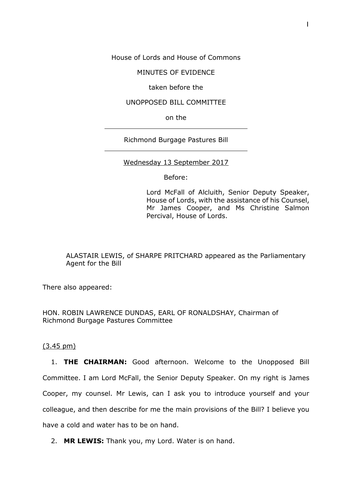House of Lords and House of Commons

MINUTES OF EVIDENCE

taken before the

### UNOPPOSED BILL COMMITTEE

on the

Richmond Burgage Pastures Bill

## Wednesday 13 September 2017

Before:

Lord McFall of Alcluith, Senior Deputy Speaker, House of Lords, with the assistance of his Counsel, Mr James Cooper, and Ms Christine Salmon Percival, House of Lords.

ALASTAIR LEWIS, of SHARPE PRITCHARD appeared as the Parliamentary Agent for the Bill

There also appeared:

HON. ROBIN LAWRENCE DUNDAS, EARL OF RONALDSHAY, Chairman of Richmond Burgage Pastures Committee

# (3.45 pm)

1. **THE CHAIRMAN:** Good afternoon. Welcome to the Unopposed Bill Committee. I am Lord McFall, the Senior Deputy Speaker. On my right is James Cooper, my counsel. Mr Lewis, can I ask you to introduce yourself and your colleague, and then describe for me the main provisions of the Bill? I believe you have a cold and water has to be on hand.

2. **MR LEWIS:** Thank you, my Lord. Water is on hand.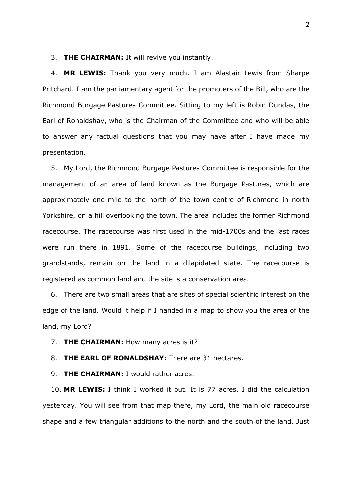#### 3. **THE CHAIRMAN:** It will revive you instantly.

4. **MR LEWIS:** Thank you very much. I am Alastair Lewis from Sharpe Pritchard. I am the parliamentary agent for the promoters of the Bill, who are the Richmond Burgage Pastures Committee. Sitting to my left is Robin Dundas, the Earl of Ronaldshay, who is the Chairman of the Committee and who will be able to answer any factual questions that you may have after I have made my presentation.

5. My Lord, the Richmond Burgage Pastures Committee is responsible for the management of an area of land known as the Burgage Pastures, which are approximately one mile to the north of the town centre of Richmond in north Yorkshire, on a hill overlooking the town. The area includes the former Richmond racecourse. The racecourse was first used in the mid-1700s and the last races were run there in 1891. Some of the racecourse buildings, including two grandstands, remain on the land in a dilapidated state. The racecourse is registered as common land and the site is a conservation area.

6. There are two small areas that are sites of special scientific interest on the edge of the land. Would it help if I handed in a map to show you the area of the land, my Lord?

7. **THE CHAIRMAN:** How many acres is it?

8. **THE EARL OF RONALDSHAY:** There are 31 hectares.

9. **THE CHAIRMAN:** I would rather acres.

10. **MR LEWIS:** I think I worked it out. It is 77 acres. I did the calculation yesterday. You will see from that map there, my Lord, the main old racecourse shape and a few triangular additions to the north and the south of the land. Just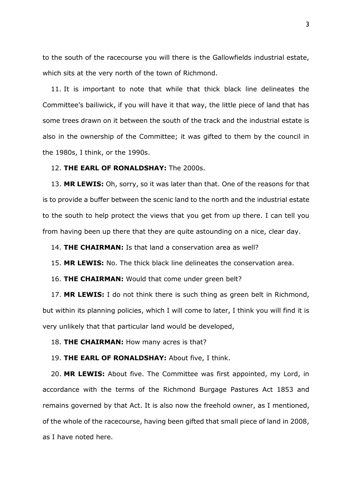to the south of the racecourse you will there is the Gallowfields industrial estate, which sits at the very north of the town of Richmond.

11. It is important to note that while that thick black line delineates the Committee's bailiwick, if you will have it that way, the little piece of land that has some trees drawn on it between the south of the track and the industrial estate is also in the ownership of the Committee; it was gifted to them by the council in the 1980s, I think, or the 1990s.

### 12. **THE EARL OF RONALDSHAY:** The 2000s.

13. **MR LEWIS:** Oh, sorry, so it was later than that. One of the reasons for that is to provide a buffer between the scenic land to the north and the industrial estate to the south to help protect the views that you get from up there. I can tell you from having been up there that they are quite astounding on a nice, clear day.

14. **THE CHAIRMAN:** Is that land a conservation area as well?

15. **MR LEWIS:** No. The thick black line delineates the conservation area.

16. **THE CHAIRMAN:** Would that come under green belt?

17. **MR LEWIS:** I do not think there is such thing as green belt in Richmond, but within its planning policies, which I will come to later, I think you will find it is very unlikely that that particular land would be developed,

18. **THE CHAIRMAN:** How many acres is that?

#### 19. **THE EARL OF RONALDSHAY:** About five, I think.

20. **MR LEWIS:** About five. The Committee was first appointed, my Lord, in accordance with the terms of the Richmond Burgage Pastures Act 1853 and remains governed by that Act. It is also now the freehold owner, as I mentioned, of the whole of the racecourse, having been gifted that small piece of land in 2008, as I have noted here.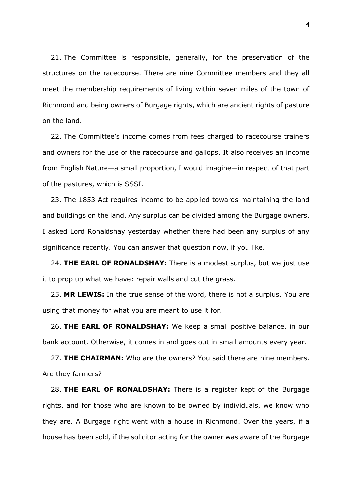21. The Committee is responsible, generally, for the preservation of the structures on the racecourse. There are nine Committee members and they all meet the membership requirements of living within seven miles of the town of Richmond and being owners of Burgage rights, which are ancient rights of pasture on the land.

22. The Committee's income comes from fees charged to racecourse trainers and owners for the use of the racecourse and gallops. It also receives an income from English Nature—a small proportion, I would imagine—in respect of that part of the pastures, which is SSSI.

23. The 1853 Act requires income to be applied towards maintaining the land and buildings on the land. Any surplus can be divided among the Burgage owners. I asked Lord Ronaldshay yesterday whether there had been any surplus of any significance recently. You can answer that question now, if you like.

24. **THE EARL OF RONALDSHAY:** There is a modest surplus, but we just use it to prop up what we have: repair walls and cut the grass.

25. **MR LEWIS:** In the true sense of the word, there is not a surplus. You are using that money for what you are meant to use it for.

26. **THE EARL OF RONALDSHAY:** We keep a small positive balance, in our bank account. Otherwise, it comes in and goes out in small amounts every year.

27. **THE CHAIRMAN:** Who are the owners? You said there are nine members. Are they farmers?

28. **THE EARL OF RONALDSHAY:** There is a register kept of the Burgage rights, and for those who are known to be owned by individuals, we know who they are. A Burgage right went with a house in Richmond. Over the years, if a house has been sold, if the solicitor acting for the owner was aware of the Burgage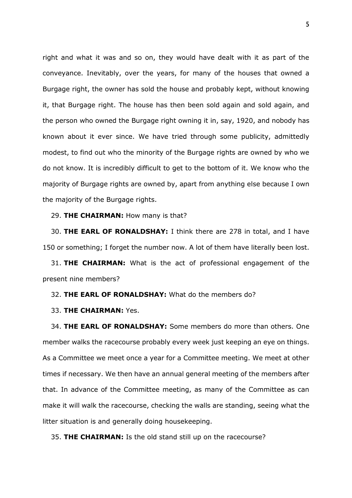right and what it was and so on, they would have dealt with it as part of the conveyance. Inevitably, over the years, for many of the houses that owned a Burgage right, the owner has sold the house and probably kept, without knowing it, that Burgage right. The house has then been sold again and sold again, and the person who owned the Burgage right owning it in, say, 1920, and nobody has known about it ever since. We have tried through some publicity, admittedly modest, to find out who the minority of the Burgage rights are owned by who we do not know. It is incredibly difficult to get to the bottom of it. We know who the majority of Burgage rights are owned by, apart from anything else because I own the majority of the Burgage rights.

#### 29. **THE CHAIRMAN:** How many is that?

30. **THE EARL OF RONALDSHAY:** I think there are 278 in total, and I have 150 or something; I forget the number now. A lot of them have literally been lost.

31. **THE CHAIRMAN:** What is the act of professional engagement of the present nine members?

#### 32. **THE EARL OF RONALDSHAY:** What do the members do?

### 33. **THE CHAIRMAN:** Yes.

34. **THE EARL OF RONALDSHAY:** Some members do more than others. One member walks the racecourse probably every week just keeping an eye on things. As a Committee we meet once a year for a Committee meeting. We meet at other times if necessary. We then have an annual general meeting of the members after that. In advance of the Committee meeting, as many of the Committee as can make it will walk the racecourse, checking the walls are standing, seeing what the litter situation is and generally doing housekeeping.

35. **THE CHAIRMAN:** Is the old stand still up on the racecourse?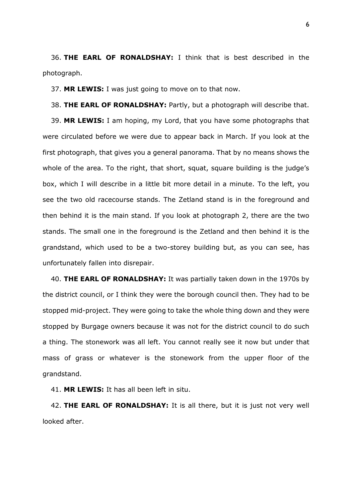36. **THE EARL OF RONALDSHAY:** I think that is best described in the photograph.

37. **MR LEWIS:** I was just going to move on to that now.

38. **THE EARL OF RONALDSHAY:** Partly, but a photograph will describe that. 39. **MR LEWIS:** I am hoping, my Lord, that you have some photographs that were circulated before we were due to appear back in March. If you look at the first photograph, that gives you a general panorama. That by no means shows the whole of the area. To the right, that short, squat, square building is the judge's box, which I will describe in a little bit more detail in a minute. To the left, you see the two old racecourse stands. The Zetland stand is in the foreground and then behind it is the main stand. If you look at photograph 2, there are the two stands. The small one in the foreground is the Zetland and then behind it is the grandstand, which used to be a two-storey building but, as you can see, has unfortunately fallen into disrepair.

40. **THE EARL OF RONALDSHAY:** It was partially taken down in the 1970s by the district council, or I think they were the borough council then. They had to be stopped mid-project. They were going to take the whole thing down and they were stopped by Burgage owners because it was not for the district council to do such a thing. The stonework was all left. You cannot really see it now but under that mass of grass or whatever is the stonework from the upper floor of the grandstand.

41. **MR LEWIS:** It has all been left in situ.

42. **THE EARL OF RONALDSHAY:** It is all there, but it is just not very well looked after.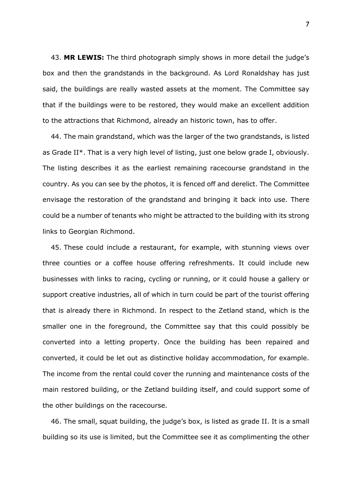43. **MR LEWIS:** The third photograph simply shows in more detail the judge's box and then the grandstands in the background. As Lord Ronaldshay has just said, the buildings are really wasted assets at the moment. The Committee say that if the buildings were to be restored, they would make an excellent addition to the attractions that Richmond, already an historic town, has to offer.

44. The main grandstand, which was the larger of the two grandstands, is listed as Grade II\*. That is a very high level of listing, just one below grade I, obviously. The listing describes it as the earliest remaining racecourse grandstand in the country. As you can see by the photos, it is fenced off and derelict. The Committee envisage the restoration of the grandstand and bringing it back into use. There could be a number of tenants who might be attracted to the building with its strong links to Georgian Richmond.

45. These could include a restaurant, for example, with stunning views over three counties or a coffee house offering refreshments. It could include new businesses with links to racing, cycling or running, or it could house a gallery or support creative industries, all of which in turn could be part of the tourist offering that is already there in Richmond. In respect to the Zetland stand, which is the smaller one in the foreground, the Committee say that this could possibly be converted into a letting property. Once the building has been repaired and converted, it could be let out as distinctive holiday accommodation, for example. The income from the rental could cover the running and maintenance costs of the main restored building, or the Zetland building itself, and could support some of the other buildings on the racecourse.

46. The small, squat building, the judge's box, is listed as grade II. It is a small building so its use is limited, but the Committee see it as complimenting the other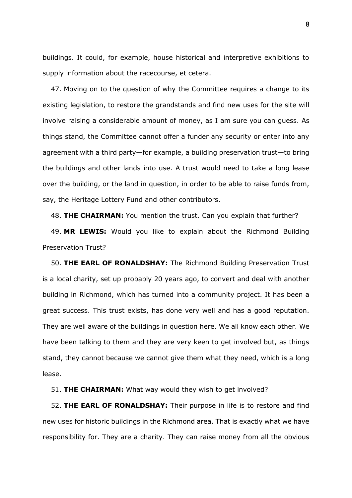buildings. It could, for example, house historical and interpretive exhibitions to supply information about the racecourse, et cetera.

47. Moving on to the question of why the Committee requires a change to its existing legislation, to restore the grandstands and find new uses for the site will involve raising a considerable amount of money, as I am sure you can guess. As things stand, the Committee cannot offer a funder any security or enter into any agreement with a third party—for example, a building preservation trust—to bring the buildings and other lands into use. A trust would need to take a long lease over the building, or the land in question, in order to be able to raise funds from, say, the Heritage Lottery Fund and other contributors.

48. **THE CHAIRMAN:** You mention the trust. Can you explain that further?

49. **MR LEWIS:** Would you like to explain about the Richmond Building Preservation Trust?

50. **THE EARL OF RONALDSHAY:** The Richmond Building Preservation Trust is a local charity, set up probably 20 years ago, to convert and deal with another building in Richmond, which has turned into a community project. It has been a great success. This trust exists, has done very well and has a good reputation. They are well aware of the buildings in question here. We all know each other. We have been talking to them and they are very keen to get involved but, as things stand, they cannot because we cannot give them what they need, which is a long lease.

51. **THE CHAIRMAN:** What way would they wish to get involved?

52. **THE EARL OF RONALDSHAY:** Their purpose in life is to restore and find new uses for historic buildings in the Richmond area. That is exactly what we have responsibility for. They are a charity. They can raise money from all the obvious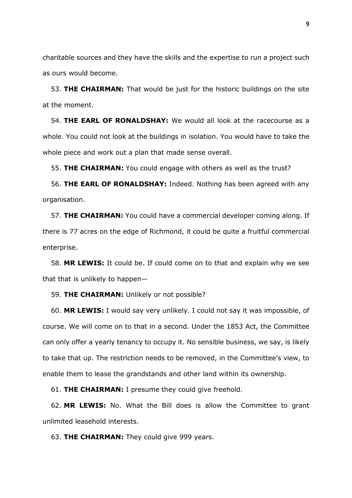charitable sources and they have the skills and the expertise to run a project such as ours would become.

53. **THE CHAIRMAN:** That would be just for the historic buildings on the site at the moment.

54. **THE EARL OF RONALDSHAY:** We would all look at the racecourse as a whole. You could not look at the buildings in isolation. You would have to take the whole piece and work out a plan that made sense overall.

55. **THE CHAIRMAN:** You could engage with others as well as the trust?

56. **THE EARL OF RONALDSHAY:** Indeed. Nothing has been agreed with any organisation.

57. **THE CHAIRMAN:** You could have a commercial developer coming along. If there is 77 acres on the edge of Richmond, it could be quite a fruitful commercial enterprise.

58. **MR LEWIS:** It could be. If could come on to that and explain why we see that that is unlikely to happen—

59. **THE CHAIRMAN:** Unlikely or not possible?

60. **MR LEWIS:** I would say very unlikely. I could not say it was impossible, of course. We will come on to that in a second. Under the 1853 Act, the Committee can only offer a yearly tenancy to occupy it. No sensible business, we say, is likely to take that up. The restriction needs to be removed, in the Committee's view, to enable them to lease the grandstands and other land within its ownership.

61. **THE CHAIRMAN:** I presume they could give freehold.

62. **MR LEWIS:** No. What the Bill does is allow the Committee to grant unlimited leasehold interests.

63. **THE CHAIRMAN:** They could give 999 years.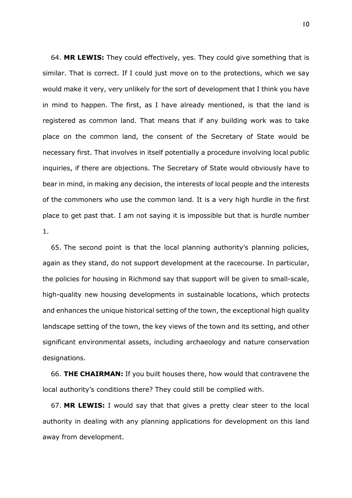64. **MR LEWIS:** They could effectively, yes. They could give something that is similar. That is correct. If I could just move on to the protections, which we say would make it very, very unlikely for the sort of development that I think you have in mind to happen. The first, as I have already mentioned, is that the land is registered as common land. That means that if any building work was to take place on the common land, the consent of the Secretary of State would be necessary first. That involves in itself potentially a procedure involving local public inquiries, if there are objections. The Secretary of State would obviously have to bear in mind, in making any decision, the interests of local people and the interests of the commoners who use the common land. It is a very high hurdle in the first place to get past that. I am not saying it is impossible but that is hurdle number 1.

65. The second point is that the local planning authority's planning policies, again as they stand, do not support development at the racecourse. In particular, the policies for housing in Richmond say that support will be given to small-scale, high-quality new housing developments in sustainable locations, which protects and enhances the unique historical setting of the town, the exceptional high quality landscape setting of the town, the key views of the town and its setting, and other significant environmental assets, including archaeology and nature conservation designations.

66. **THE CHAIRMAN:** If you built houses there, how would that contravene the local authority's conditions there? They could still be complied with.

67. **MR LEWIS:** I would say that that gives a pretty clear steer to the local authority in dealing with any planning applications for development on this land away from development.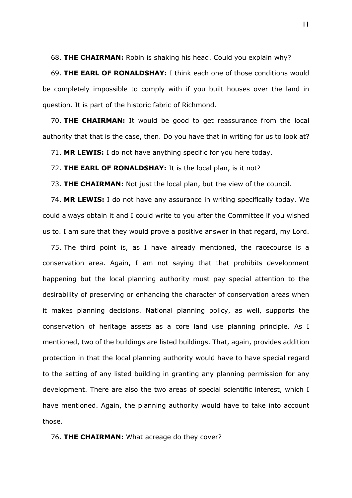68. **THE CHAIRMAN:** Robin is shaking his head. Could you explain why?

69. **THE EARL OF RONALDSHAY:** I think each one of those conditions would be completely impossible to comply with if you built houses over the land in question. It is part of the historic fabric of Richmond.

70. **THE CHAIRMAN:** It would be good to get reassurance from the local authority that that is the case, then. Do you have that in writing for us to look at?

71. **MR LEWIS:** I do not have anything specific for you here today.

72. **THE EARL OF RONALDSHAY:** It is the local plan, is it not?

73. **THE CHAIRMAN:** Not just the local plan, but the view of the council.

74. **MR LEWIS:** I do not have any assurance in writing specifically today. We could always obtain it and I could write to you after the Committee if you wished us to. I am sure that they would prove a positive answer in that regard, my Lord.

75. The third point is, as I have already mentioned, the racecourse is a conservation area. Again, I am not saying that that prohibits development happening but the local planning authority must pay special attention to the desirability of preserving or enhancing the character of conservation areas when it makes planning decisions. National planning policy, as well, supports the conservation of heritage assets as a core land use planning principle. As I mentioned, two of the buildings are listed buildings. That, again, provides addition protection in that the local planning authority would have to have special regard to the setting of any listed building in granting any planning permission for any development. There are also the two areas of special scientific interest, which I have mentioned. Again, the planning authority would have to take into account those.

76. **THE CHAIRMAN:** What acreage do they cover?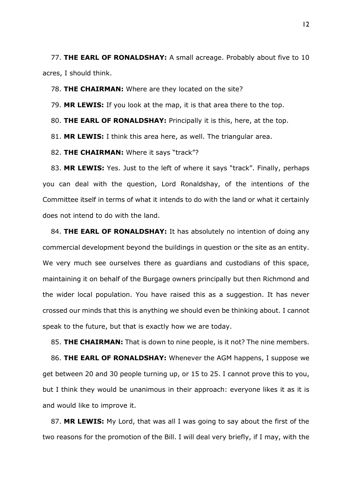77. **THE EARL OF RONALDSHAY:** A small acreage. Probably about five to 10 acres, I should think.

78. **THE CHAIRMAN:** Where are they located on the site?

79. **MR LEWIS:** If you look at the map, it is that area there to the top.

80. **THE EARL OF RONALDSHAY:** Principally it is this, here, at the top.

81. **MR LEWIS:** I think this area here, as well. The triangular area.

82. **THE CHAIRMAN:** Where it says "track"?

83. **MR LEWIS:** Yes. Just to the left of where it says "track". Finally, perhaps you can deal with the question, Lord Ronaldshay, of the intentions of the Committee itself in terms of what it intends to do with the land or what it certainly does not intend to do with the land.

84. **THE EARL OF RONALDSHAY:** It has absolutely no intention of doing any commercial development beyond the buildings in question or the site as an entity. We very much see ourselves there as guardians and custodians of this space, maintaining it on behalf of the Burgage owners principally but then Richmond and the wider local population. You have raised this as a suggestion. It has never crossed our minds that this is anything we should even be thinking about. I cannot speak to the future, but that is exactly how we are today.

85. **THE CHAIRMAN:** That is down to nine people, is it not? The nine members.

86. **THE EARL OF RONALDSHAY:** Whenever the AGM happens, I suppose we get between 20 and 30 people turning up, or 15 to 25. I cannot prove this to you, but I think they would be unanimous in their approach: everyone likes it as it is and would like to improve it.

87. **MR LEWIS:** My Lord, that was all I was going to say about the first of the two reasons for the promotion of the Bill. I will deal very briefly, if I may, with the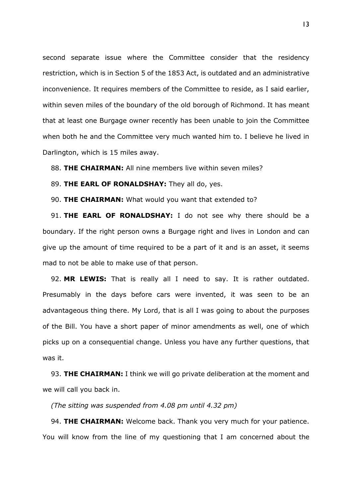second separate issue where the Committee consider that the residency restriction, which is in Section 5 of the 1853 Act, is outdated and an administrative inconvenience. It requires members of the Committee to reside, as I said earlier, within seven miles of the boundary of the old borough of Richmond. It has meant that at least one Burgage owner recently has been unable to join the Committee when both he and the Committee very much wanted him to. I believe he lived in Darlington, which is 15 miles away.

88. **THE CHAIRMAN:** All nine members live within seven miles?

89. **THE EARL OF RONALDSHAY:** They all do, yes.

90. **THE CHAIRMAN:** What would you want that extended to?

91. **THE EARL OF RONALDSHAY:** I do not see why there should be a boundary. If the right person owns a Burgage right and lives in London and can give up the amount of time required to be a part of it and is an asset, it seems mad to not be able to make use of that person.

92. **MR LEWIS:** That is really all I need to say. It is rather outdated. Presumably in the days before cars were invented, it was seen to be an advantageous thing there. My Lord, that is all I was going to about the purposes of the Bill. You have a short paper of minor amendments as well, one of which picks up on a consequential change. Unless you have any further questions, that was it.

93. **THE CHAIRMAN:** I think we will go private deliberation at the moment and we will call you back in.

*(The sitting was suspended from 4.08 pm until 4.32 pm)*

94. **THE CHAIRMAN:** Welcome back. Thank you very much for your patience. You will know from the line of my questioning that I am concerned about the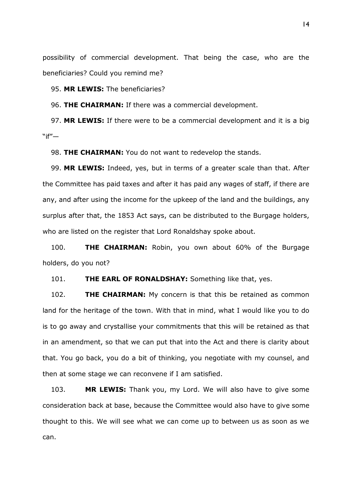possibility of commercial development. That being the case, who are the beneficiaries? Could you remind me?

95. **MR LEWIS:** The beneficiaries?

96. **THE CHAIRMAN:** If there was a commercial development.

97. **MR LEWIS:** If there were to be a commercial development and it is a big  $"$ if"—

98. **THE CHAIRMAN:** You do not want to redevelop the stands.

99. **MR LEWIS:** Indeed, yes, but in terms of a greater scale than that. After the Committee has paid taxes and after it has paid any wages of staff, if there are any, and after using the income for the upkeep of the land and the buildings, any surplus after that, the 1853 Act says, can be distributed to the Burgage holders, who are listed on the register that Lord Ronaldshay spoke about.

100. **THE CHAIRMAN:** Robin, you own about 60% of the Burgage holders, do you not?

101. **THE EARL OF RONALDSHAY:** Something like that, yes.

102. **THE CHAIRMAN:** My concern is that this be retained as common land for the heritage of the town. With that in mind, what I would like you to do is to go away and crystallise your commitments that this will be retained as that in an amendment, so that we can put that into the Act and there is clarity about that. You go back, you do a bit of thinking, you negotiate with my counsel, and then at some stage we can reconvene if I am satisfied.

103. **MR LEWIS:** Thank you, my Lord. We will also have to give some consideration back at base, because the Committee would also have to give some thought to this. We will see what we can come up to between us as soon as we can.